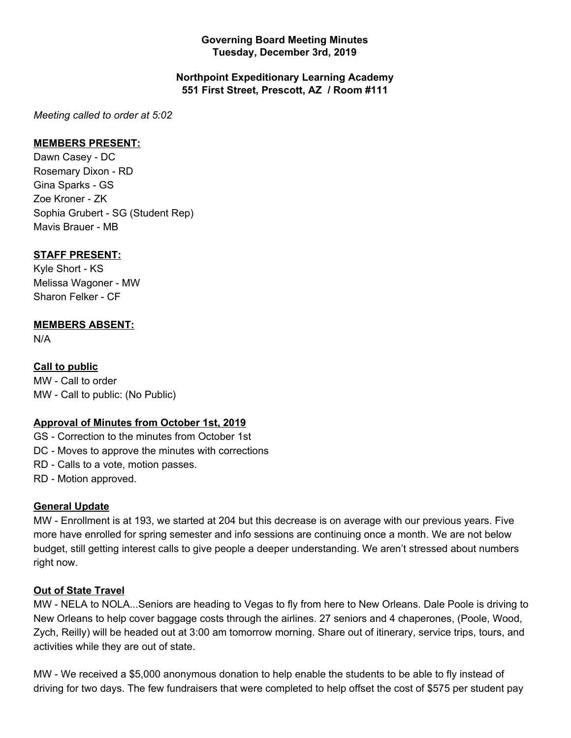### **Governing Board Meeting Minutes Tuesday, December 3rd, 2019**

### **Northpoint Expeditionary Learning Academy 551 First Street, Prescott, AZ / Room #111**

*Meeting called to order at 5:02*

### **MEMBERS PRESENT:**

Dawn Casey - DC Rosemary Dixon - RD Gina Sparks - GS Zoe Kroner - ZK Sophia Grubert - SG (Student Rep) Mavis Brauer - MB

## **STAFF PRESENT:**

Kyle Short - KS Melissa Wagoner - MW Sharon Felker - CF

## **MEMBERS ABSENT:**

N/A

## **Call to public**

MW - Call to order MW - Call to public: (No Public)

#### **Approval of Minutes from October 1st, 2019**

GS - Correction to the minutes from October 1st

DC - Moves to approve the minutes with corrections

RD - Calls to a vote, motion passes.

RD - Motion approved.

#### **General Update**

MW - Enrollment is at 193, we started at 204 but this decrease is on average with our previous years. Five more have enrolled for spring semester and info sessions are continuing once a month. We are not below budget, still getting interest calls to give people a deeper understanding. We aren't stressed about numbers right now.

#### **Out of State Travel**

MW - NELA to NOLA...Seniors are heading to Vegas to fly from here to New Orleans. Dale Poole is driving to New Orleans to help cover baggage costs through the airlines. 27 seniors and 4 chaperones, (Poole, Wood, Zych, Reilly) will be headed out at 3:00 am tomorrow morning. Share out of itinerary, service trips, tours, and activities while they are out of state.

MW - We received a \$5,000 anonymous donation to help enable the students to be able to fly instead of driving for two days. The few fundraisers that were completed to help offset the cost of \$575 per student pay